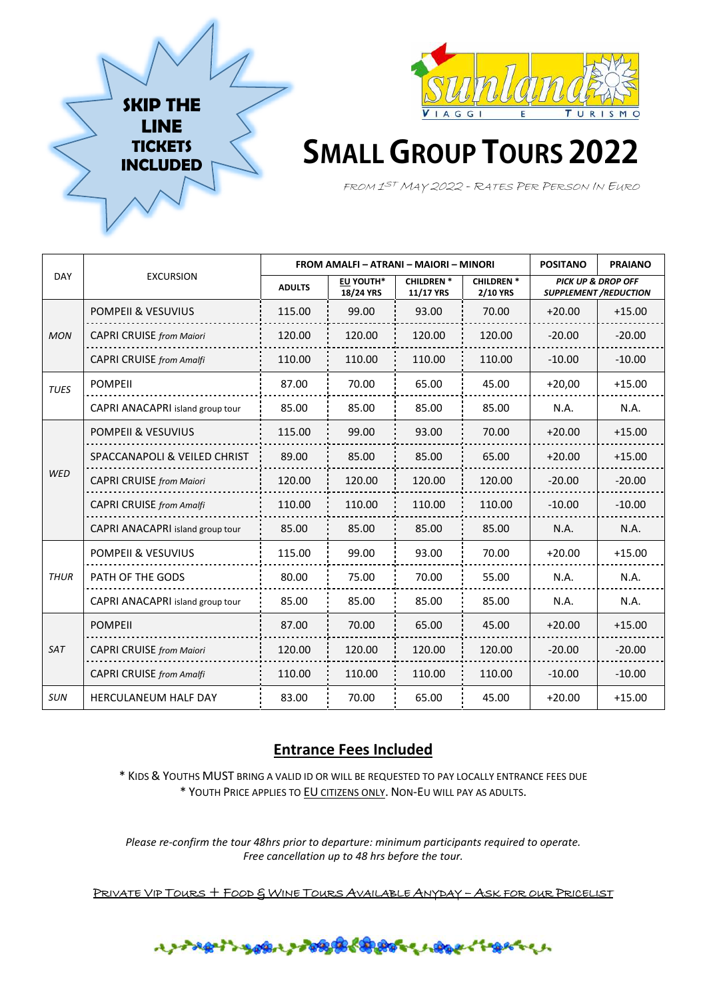



# **SMALL GROUP TOURS 2022**

FROM 1 ST <sup>M</sup>AY <sup>2022</sup> - <sup>R</sup>ATES PER PERSON IN EURO

|             | <b>EXCURSION</b>                        | FROM AMALFI - ATRANI - MAIORI - MINORI |                        |                               |                                     | <b>POSITANO</b>                                               | <b>PRAIANO</b> |
|-------------|-----------------------------------------|----------------------------------------|------------------------|-------------------------------|-------------------------------------|---------------------------------------------------------------|----------------|
| <b>DAY</b>  |                                         | <b>ADULTS</b>                          | EU YOUTH*<br>18/24 YRS | <b>CHILDREN*</b><br>11/17 YRS | <b>CHILDREN*</b><br><b>2/10 YRS</b> | <b>PICK UP &amp; DROP OFF</b><br><b>SUPPLEMENT /REDUCTION</b> |                |
|             | <b>POMPEII &amp; VESUVIUS</b>           | 115.00                                 | 99.00                  | 93.00                         | 70.00                               | $+20.00$                                                      | $+15.00$       |
| <b>MON</b>  | <b>CAPRI CRUISE from Maiori</b>         | 120.00                                 | 120.00                 | 120.00                        | 120.00                              | $-20.00$                                                      | $-20.00$       |
|             | <b>CAPRI CRUISE</b> from Amalfi         | 110.00                                 | 110.00                 | 110.00                        | 110.00                              | $-10.00$                                                      | $-10.00$       |
| <b>TUES</b> | <b>POMPEII</b>                          | 87.00                                  | 70.00                  | 65.00                         | 45.00                               | $+20,00$                                                      | $+15.00$       |
|             | <b>CAPRI ANACAPRI</b> island group tour | 85.00                                  | 85.00                  | 85.00                         | 85.00                               | N.A.                                                          | N.A.           |
| <b>WED</b>  | POMPEII & VESUVIUS                      | 115.00                                 | 99.00                  | 93.00                         | 70.00                               | $+20.00$                                                      | $+15.00$       |
|             | SPACCANAPOLI & VEILED CHRIST            | 89.00                                  | 85.00                  | 85.00                         | 65.00                               | $+20.00$                                                      | $+15.00$       |
|             | <b>CAPRI CRUISE from Maiori</b>         | 120.00                                 | 120.00                 | 120.00                        | 120.00                              | $-20.00$                                                      | $-20.00$       |
|             | <b>CAPRI CRUISE</b> from Amalfi         | 110.00                                 | 110.00                 | 110.00                        | 110.00                              | $-10.00$                                                      | $-10.00$       |
|             | CAPRI ANACAPRI island group tour        | 85.00                                  | 85.00                  | 85.00                         | 85.00                               | N.A.                                                          | N.A.           |
| <b>THUR</b> | <b>POMPEII &amp; VESUVIUS</b>           | 115.00                                 | 99.00                  | 93.00                         | 70.00                               | $+20.00$                                                      | $+15.00$       |
|             | PATH OF THE GODS                        | 80.00                                  | 75.00                  | 70.00                         | 55.00                               | N.A.                                                          | N.A.           |
|             | <b>CAPRI ANACAPRI</b> island group tour | 85.00                                  | 85.00                  | 85.00                         | 85.00                               | N.A.                                                          | N.A.           |
| <b>SAT</b>  | <b>POMPEII</b>                          | 87.00                                  | 70.00                  | 65.00                         | 45.00                               | $+20.00$                                                      | $+15.00$       |
|             | <b>CAPRI CRUISE</b> from Maiori         | 120.00                                 | 120.00                 | 120.00                        | 120.00                              | $-20.00$                                                      | $-20.00$       |
|             | <b>CAPRI CRUISE</b> from Amalfi         | 110.00                                 | 110.00                 | 110.00                        | 110.00                              | $-10.00$                                                      | $-10.00$       |
| <b>SUN</b>  | <b>HERCULANEUM HALF DAY</b>             | 83.00                                  | 70.00                  | 65.00                         | 45.00                               | $+20.00$                                                      | $+15.00$       |

# **Entrance Fees Included**

\* KIDS & YOUTHS MUST BRING A VALID ID OR WILL BE REQUESTED TO PAY LOCALLY ENTRANCE FEES DUE \* YOUTH PRICE APPLIES TO EU CITIZENS ONLY. NON-EU WILL PAY AS ADULTS.

*Please re-confirm the tour 48hrs prior to departure: minimum participants required to operate. Free cancellation up to 48 hrs before the tour.* 

PRIVATE VIP TOURS + FOOD & WINE TOURS AVAILABLE ANYDAY - ASK FOR OUR PRICELIST

# ナンキロウィングの場合の気がなく、人ののみ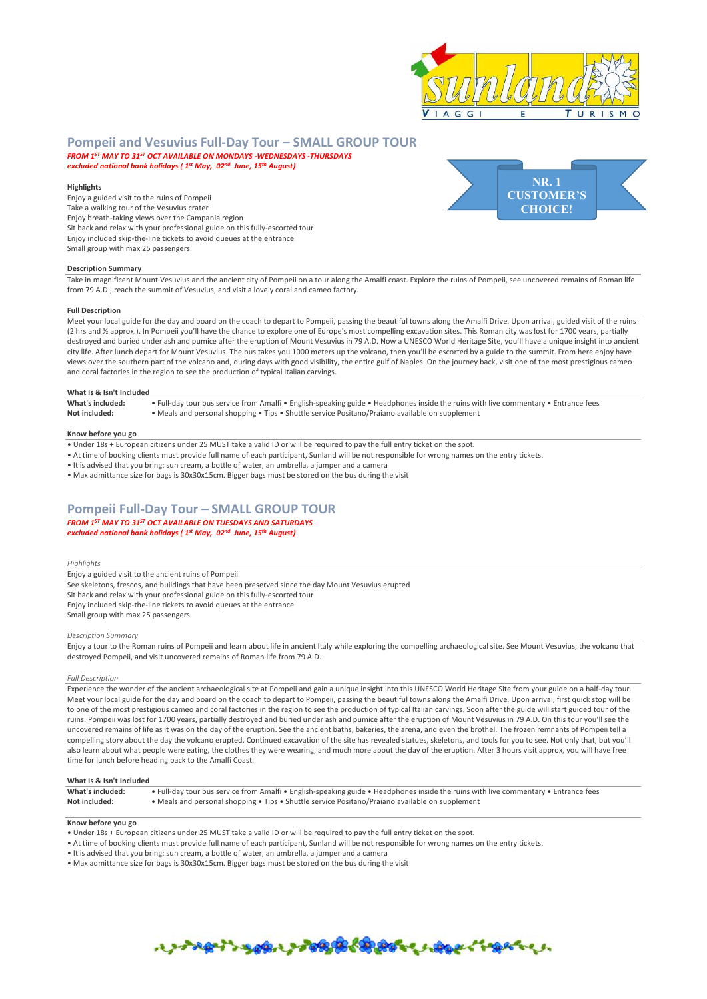

# **Pompeii and Vesuvius Full-Day Tour – SMALL GROUP TOUR**  *FROM 1ST MAY TO 31ST OCT AVAILABLE ON MONDAYS -WEDNESDAYS -THURSDAYS*

*excluded national bank holidays ( 1st May, 02nd June, 15th August)* 

### **Highlights**

Enjoy a guided visit to the ruins of Pompeii Take a walking tour of the Vesuvius crater Enjoy breath-taking views over the Campania region Sit back and relax with your professional guide on this fully-escorted tour Enjoy included skip-the-line tickets to avoid queues at the entrance Small group with max 25 passengers



# **Description Summary**

Take in magnificent Mount Vesuvius and the ancient city of Pompeii on a tour along the Amalfi coast. Explore the ruins of Pompeii, see uncovered remains of Roman life from 79 A.D., reach the summit of Vesuvius, and visit a lovely coral and cameo factory.

# **Full Description**

Meet your local guide for the day and board on the coach to depart to Pompeii, passing the beautiful towns along the Amalfi Drive. Upon arrival, guided visit of the ruins (2 hrs and ½ approx.). In Pompeii you'll have the chance to explore one of Europe's most compelling excavation sites. This Roman city was lost for 1700 years, partially destroyed and buried under ash and pumice after the eruption of Mount Vesuvius in 79 A.D. Now a UNESCO World Heritage Site, you'll have a unique insight into ancient city life. After lunch depart for Mount Vesuvius. The bus takes you 1000 meters up the volcano, then you'll be escorted by a guide to the summit. From here enjoy have views over the southern part of the volcano and, during days with good visibility, the entire gulf of Naples. On the journey back, visit one of the most prestigious cameo and coral factories in the region to see the production of typical Italian carvings.

### **What Is & Isn't Included**

What's included:<br>
• Full-day tour bus service from Amalfi • English-speaking guide • Headphones inside the ruins with live commentary • Entrance fees<br>
Not included:<br>
• Meals and nersonal shonning • Tins • Shuttle service P **Not included:** • Meals and personal shopping • Tips • Shuttle service Positano/Praiano available on supplement

#### **Know before you go**

- Under 18s + European citizens under 25 MUST take a valid ID or will be required to pay the full entry ticket on the spot.
- At time of booking clients must provide full name of each participant, Sunland will be not responsible for wrong names on the entry tickets.
- It is advised that you bring: sun cream, a bottle of water, an umbrella, a jumper and a camera

• Max admittance size for bags is 30x30x15cm. Bigger bags must be stored on the bus during the visit

# **Pompeii Full-Day Tour – SMALL GROUP TOUR**  *FROM 1ST MAY TO 31ST OCT AVAILABLE ON TUESDAYS AND SATURDAYS*

*excluded national bank holidays ( 1st May, 02nd June, 15th August)* 

## *Highlights*

Enjoy a guided visit to the ancient ruins of Pompeii See skeletons, frescos, and buildings that have been preserved since the day Mount Vesuvius erupted Sit back and relax with your professional guide on this fully-escorted tour Enjoy included skip-the-line tickets to avoid queues at the entrance Small group with max 25 passengers

#### *Description Summary*

Enjoy a tour to the Roman ruins of Pompeii and learn about life in ancient Italy while exploring the compelling archaeological site. See Mount Vesuvius, the volcano that destroyed Pompeii, and visit uncovered remains of Roman life from 79 A.D.

#### *Full Description*

Experience the wonder of the ancient archaeological site at Pompeii and gain a unique insight into this UNESCO World Heritage Site from your guide on a half-day tour. Meet your local guide for the day and board on the coach to depart to Pompeii, passing the beautiful towns along the Amalfi Drive. Upon arrival, first quick stop will be to one of the most prestigious cameo and coral factories in the region to see the production of typical Italian carvings. Soon after the guide will start guided tour of the ruins. Pompeii was lost for 1700 years, partially destroyed and buried under ash and pumice after the eruption of Mount Vesuvius in 79 A.D. On this tour you'll see the uncovered remains of life as it was on the day of the eruption. See the ancient baths, bakeries, the arena, and even the brothel. The frozen remnants of Pompeii tell a compelling story about the day the volcano erupted. Continued excavation of the site has revealed statues, skeletons, and tools for you to see. Not only that, but you'll also learn about what people were eating, the clothes they were wearing, and much more about the day of the eruption. After 3 hours visit approx, you will have free time for lunch before heading back to the Amalfi Coast.

#### **What Is & Isn't Included**

| What's included: | • Full-day tour bus service from Amalfi • English-speaking guide • Headphones inside the ruins with live commentary • Entrance fees |
|------------------|-------------------------------------------------------------------------------------------------------------------------------------|
| Not included:    | • Meals and personal shopping • Tips • Shuttle service Positano/Praiano available on supplement                                     |

# **Know before you go**

- Under 18s + European citizens under 25 MUST take a valid ID or will be required to pay the full entry ticket on the spot.
- At time of booking clients must provide full name of each participant, Sunland will be not responsible for wrong names on the entry tickets.
- It is advised that you bring: sun cream, a bottle of water, an umbrella, a jumper and a camera
- Max admittance size for bags is 30x30x15cm. Bigger bags must be stored on the bus during the visit

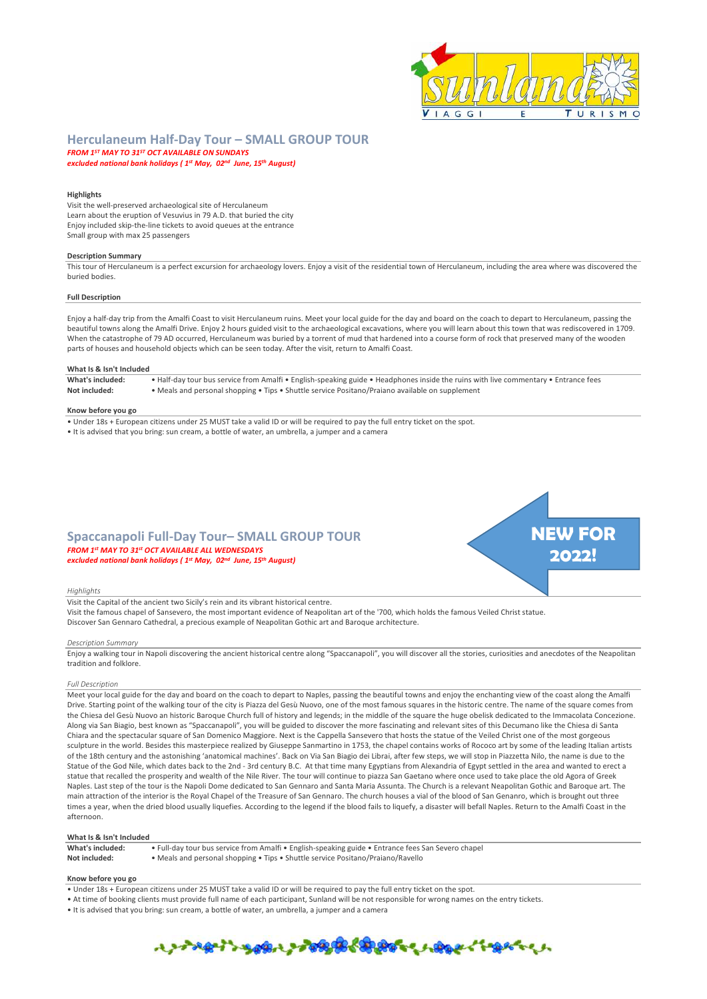

# **Herculaneum Half-Day Tour – SMALL GROUP TOUR**

*FROM 1ST MAY TO 31ST OCT AVAILABLE ON SUNDAYS excluded national bank holidays ( 1st May, 02nd June, 15th August)* 

# **Highlights**

Visit the well-preserved archaeological site of Herculaneum Learn about the eruption of Vesuvius in 79 A.D. that buried the city Enjoy included skip-the-line tickets to avoid queues at the entrance Small group with max 25 passengers

# **Description Summary**

This tour of Herculaneum is a perfect excursion for archaeology lovers. Enjoy a visit of the residential town of Herculaneum, including the area where was discovered the buried bodies.

#### **Full Description**

Enjoy a half-day trip from the Amalfi Coast to visit Herculaneum ruins. Meet your local guide for the day and board on the coach to depart to Herculaneum, passing the beautiful towns along the Amalfi Drive. Enjoy 2 hours guided visit to the archaeological excavations, where you will learn about this town that was rediscovered in 1709. When the catastrophe of 79 AD occurred, Herculaneum was buried by a torrent of mud that hardened into a course form of rock that preserved many of the wooden parts of houses and household objects which can be seen today. After the visit, return to Amalfi Coast.

## **What Is & Isn't Included**

**What's included:** • Half-day tour bus service from Amalfi • English-speaking guide • Headphones inside the ruins with live commentary • Entrance fees **Not included:** • Meals and personal shopping • Tips • Shuttle service Positano/Praiano available on supplement

#### **Know before you go**

- Under 18s + European citizens under 25 MUST take a valid ID or will be required to pay the full entry ticket on the spot.
- It is advised that you bring: sun cream, a bottle of water, an umbrella, a jumper and a camera
- **Spaccanapoli Full-Day Tour– SMALL GROUP TOUR**  *FROM 1st MAY TO 31st OCT AVAILABLE ALL WEDNESDAYS excluded national bank holidays ( 1st May, 02nd June, 15th August)*



### *Highlights*

Visit the Capital of the ancient two Sicily's rein and its vibrant historical centre. Visit the famous chapel of Sansevero, the most important evidence of Neapolitan art of the '700, which holds the famous Veiled Christ statue. Discover San Gennaro Cathedral, a precious example of Neapolitan Gothic art and Baroque architecture.

#### *Description Summary*

Enjoy a walking tour in Napoli discovering the ancient historical centre along "Spaccanapoli", you will discover all the stories, curiosities and anecdotes of the Neapolitan tradition and folklore.

#### *Full Description*

Meet your local guide for the day and board on the coach to depart to Naples, passing the beautiful towns and enjoy the enchanting view of the coast along the Amalfi Drive. Starting point of the walking tour of the city is Piazza del Gesù Nuovo, one of the most famous squares in the historic centre. The name of the square comes from the Chiesa del Gesù Nuovo an historic Baroque Church full of history and legends; in the middle of the square the huge obelisk dedicated to the Immacolata Concezione. Along via San Biagio, best known as "Spaccanapoli", you will be guided to discover the more fascinating and relevant sites of this Decumano like the Chiesa di Santa Chiara and the spectacular square of San Domenico Maggiore. Next is the Cappella Sansevero that hosts the statue of the Veiled Christ one of the most gorgeous sculpture in the world. Besides this masterpiece realized by Giuseppe Sanmartino in 1753, the chapel contains works of Rococo art by some of the leading Italian artists of the 18th century and the astonishing 'anatomical machines'. Back on Via San Biagio dei Librai, after few steps, we will stop in Piazzetta Nilo, the name is due to the Statue of the God Nile, which dates back to the 2nd - 3rd century B.C. At that time many Egyptians from Alexandria of Egypt settled in the area and wanted to erect a statue that recalled the prosperity and wealth of the Nile River. The tour will continue to piazza San Gaetano where once used to take place the old Agora of Greek Naples. Last step of the tour is the Napoli Dome dedicated to San Gennaro and Santa Maria Assunta. The Church is a relevant Neapolitan Gothic and Baroque art. The main attraction of the interior is the Royal Chapel of the Treasure of San Gennaro. The church houses a vial of the blood of San Genanro, which is brought out three times a year, when the dried blood usually liquefies. According to the legend if the blood fails to liquefy, a disaster will befall Naples. Return to the Amalfi Coast in the afternoon.

# **What Is & Isn't Included**

| What's included: | • Full-day tour bus service from Amalfi • English-speaking guide • Entrance fees San Severo chapel |
|------------------|----------------------------------------------------------------------------------------------------|
| Not included:    | • Meals and personal shopping • Tips • Shuttle service Positano/Praiano/Ravello                    |

## **Know before you go**

- Under 18s + European citizens under 25 MUST take a valid ID or will be required to pay the full entry ticket on the spot.
- At time of booking clients must provide full name of each participant, Sunland will be not responsible for wrong names on the entry tickets.
- It is advised that you bring: sun cream, a bottle of water, an umbrella, a jumper and a camera

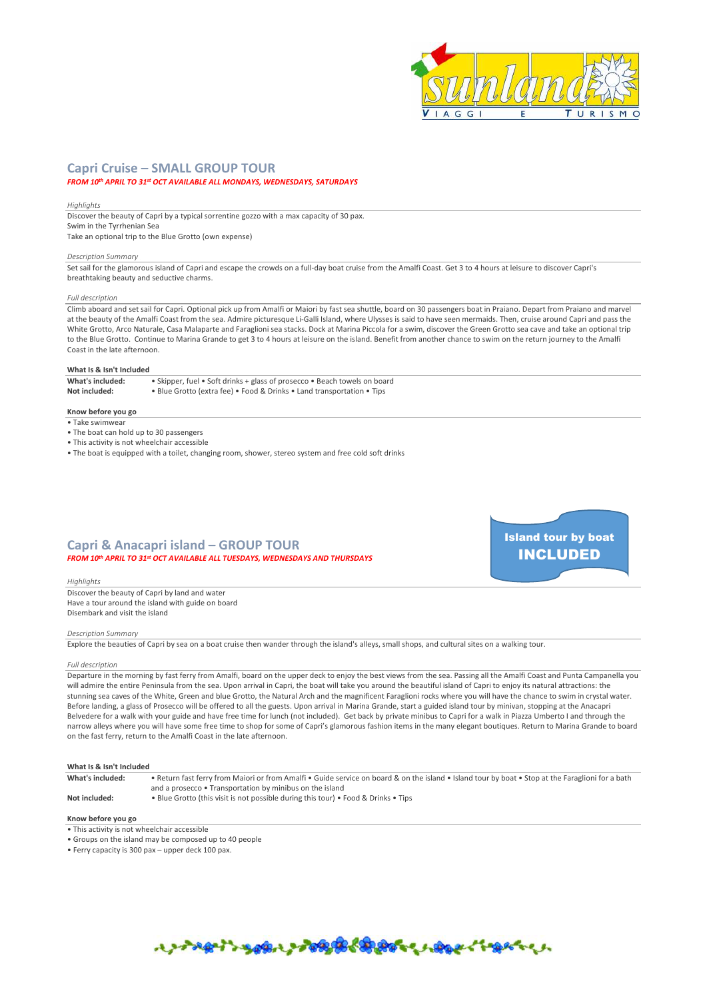

Island tour by boat INCLUDED

# **Capri Cruise – SMALL GROUP TOUR**

# *FROM 10th APRIL TO 31st OCT AVAILABLE ALL MONDAYS, WEDNESDAYS, SATURDAYS*

#### *Highlights*

Discover the beauty of Capri by a typical sorrentine gozzo with a max capacity of 30 pax. Swim in the Tyrrhenian Sea Take an optional trip to the Blue Grotto (own expense)

#### *Description Summary*

Set sail for the glamorous island of Capri and escape the crowds on a full-day boat cruise from the Amalfi Coast. Get 3 to 4 hours at leisure to discover Capri's breathtaking beauty and seductive charms.

#### *Full description*

Climb aboard and set sail for Capri. Optional pick up from Amalfi or Maiori by fast sea shuttle, board on 30 passengers boat in Praiano. Depart from Praiano and marvel at the beauty of the Amalfi Coast from the sea. Admire picturesque Li-Galli Island, where Ulysses is said to have seen mermaids. Then, cruise around Capri and pass the White Grotto, Arco Naturale, Casa Malaparte and Faraglioni sea stacks. Dock at Marina Piccola for a swim, discover the Green Grotto sea cave and take an optional trip to the Blue Grotto. Continue to Marina Grande to get 3 to 4 hours at leisure on the island. Benefit from another chance to swim on the return journey to the Amalfi Coast in the late afternoon.

# **What Is & Isn't Included**

**What's included:** • Skipper, fuel • Soft drinks + glass of prosecco • Beach towels on board

- **Not included:** Blue Grotto (extra fee) Food & Drinks Land transportation Tips
	-

# **Know before you go**

- $\bullet$  Take swimwear
- The boat can hold up to 30 passengers
- This activity is not wheelchair accessible
- The boat is equipped with a toilet, changing room, shower, stereo system and free cold soft drinks

# **Capri & Anacapri island – GROUP TOUR**  *FROM 10th APRIL TO 31st OCT AVAILABLE ALL TUESDAYS, WEDNESDAYS AND THURSDAYS*

*Highlights*  Discover the beauty of Capri by land and water Have a tour around the island with guide on board Disembark and visit the island

#### *Description Summary*

Explore the beauties of Capri by sea on a boat cruise then wander through the island's alleys, small shops, and cultural sites on a walking tour.

#### *Full description*

Departure in the morning by fast ferry from Amalfi, board on the upper deck to enjoy the best views from the sea. Passing all the Amalfi Coast and Punta Campanella you will admire the entire Peninsula from the sea. Upon arrival in Capri, the boat will take you around the beautiful island of Capri to enjoy its natural attractions: the stunning sea caves of the White, Green and blue Grotto, the Natural Arch and the magnificent Faraglioni rocks where you will have the chance to swim in crystal water. Before landing, a glass of Prosecco will be offered to all the guests. Upon arrival in Marina Grande, start a guided island tour by minivan, stopping at the Anacapri Belvedere for a walk with your guide and have free time for lunch (not included). Get back by private minibus to Capri for a walk in Piazza Umberto I and through the narrow alleys where you will have some free time to shop for some of Capri's glamorous fashion items in the many elegant boutiques. Return to Marina Grande to board on the fast ferry, return to the Amalfi Coast in the late afternoon.

### **What Is & Isn't Included**

**What's included:** • Return fast ferry from Maiori or from Amalfi • Guide service on board & on the island • Island tour by boat • Stop at the Faraglioni for a bath

- and a prosecco Transportation by minibus on the island
- **Know before you go**

**Not included:** • Blue Grotto (this visit is not possible during this tour) • Food & Drinks • Tips

• This activity is not wheelchair accessible

- Groups on the island may be composed up to 40 people
- Ferry capacity is 300 pax upper deck 100 pax.